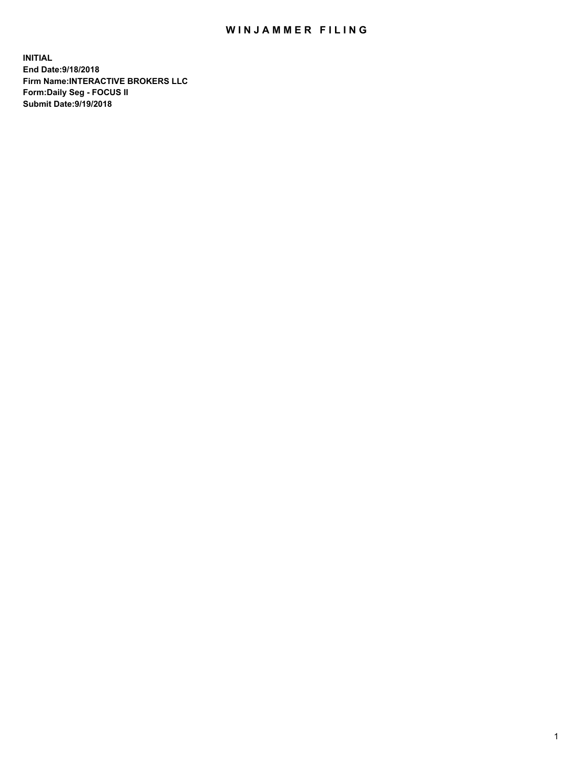## WIN JAMMER FILING

**INITIAL End Date:9/18/2018 Firm Name:INTERACTIVE BROKERS LLC Form:Daily Seg - FOCUS II Submit Date:9/19/2018**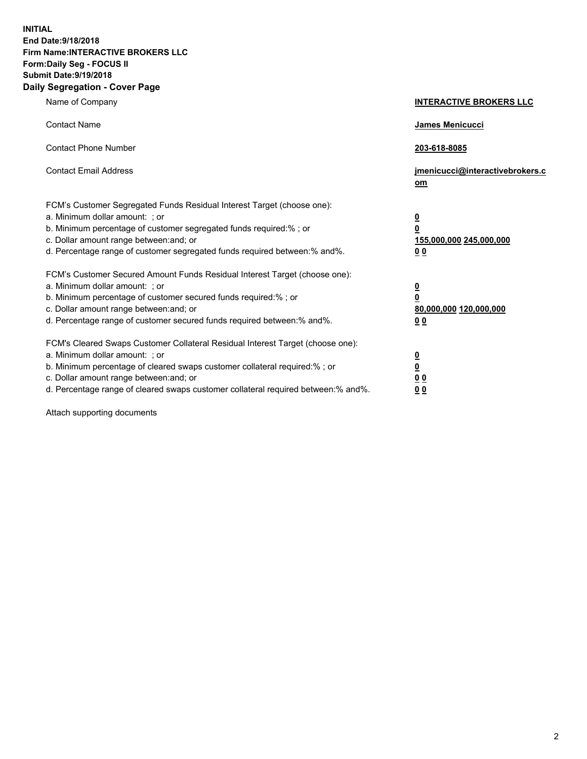**INITIAL End Date:9/18/2018 Firm Name:INTERACTIVE BROKERS LLC Form:Daily Seg - FOCUS II Submit Date:9/19/2018 Daily Segregation - Cover Page**

| Name of Company                                                                                                                                                                                                                                                                                                                | <b>INTERACTIVE BROKERS LLC</b>                                                                  |
|--------------------------------------------------------------------------------------------------------------------------------------------------------------------------------------------------------------------------------------------------------------------------------------------------------------------------------|-------------------------------------------------------------------------------------------------|
| <b>Contact Name</b>                                                                                                                                                                                                                                                                                                            | James Menicucci                                                                                 |
| <b>Contact Phone Number</b>                                                                                                                                                                                                                                                                                                    | 203-618-8085                                                                                    |
| <b>Contact Email Address</b>                                                                                                                                                                                                                                                                                                   | jmenicucci@interactivebrokers.c<br>om                                                           |
| FCM's Customer Segregated Funds Residual Interest Target (choose one):<br>a. Minimum dollar amount: ; or<br>b. Minimum percentage of customer segregated funds required:% ; or<br>c. Dollar amount range between: and; or<br>d. Percentage range of customer segregated funds required between:% and%.                         | $\overline{\mathbf{0}}$<br>$\overline{\mathbf{0}}$<br>155,000,000 245,000,000<br>0 <sub>0</sub> |
| FCM's Customer Secured Amount Funds Residual Interest Target (choose one):<br>a. Minimum dollar amount: ; or<br>b. Minimum percentage of customer secured funds required:% ; or<br>c. Dollar amount range between: and; or<br>d. Percentage range of customer secured funds required between:% and%.                           | $\overline{\mathbf{0}}$<br>0<br>80,000,000 120,000,000<br>0 <sub>0</sub>                        |
| FCM's Cleared Swaps Customer Collateral Residual Interest Target (choose one):<br>a. Minimum dollar amount: ; or<br>b. Minimum percentage of cleared swaps customer collateral required:% ; or<br>c. Dollar amount range between: and; or<br>d. Percentage range of cleared swaps customer collateral required between:% and%. | $\overline{\mathbf{0}}$<br><u>0</u><br>$\underline{0}$ $\underline{0}$<br>00                    |

Attach supporting documents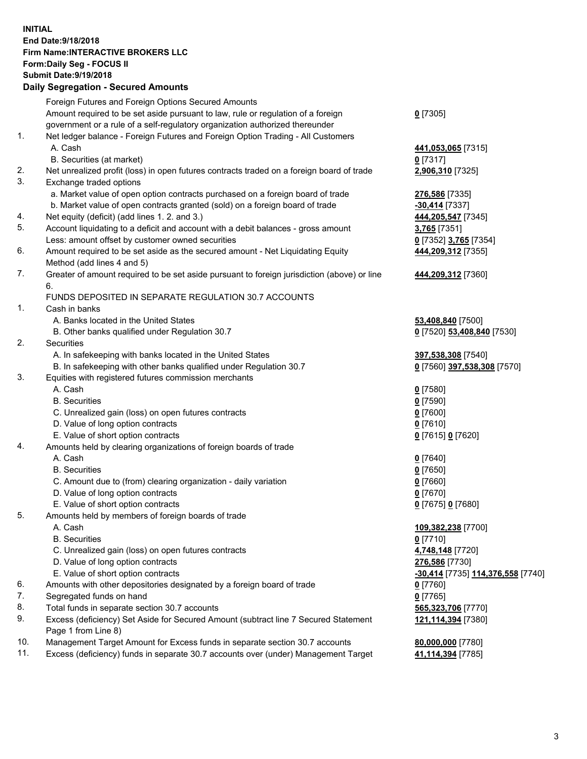## **INITIAL End Date:9/18/2018 Firm Name:INTERACTIVE BROKERS LLC Form:Daily Seg - FOCUS II Submit Date:9/19/2018 Daily Segregation - Secured Amounts**

|                | Daily Segregation - Secured Amounts                                                                  |                                                 |
|----------------|------------------------------------------------------------------------------------------------------|-------------------------------------------------|
|                | Foreign Futures and Foreign Options Secured Amounts                                                  |                                                 |
|                | Amount required to be set aside pursuant to law, rule or regulation of a foreign                     | $0$ [7305]                                      |
|                | government or a rule of a self-regulatory organization authorized thereunder                         |                                                 |
| $\mathbf{1}$ . | Net ledger balance - Foreign Futures and Foreign Option Trading - All Customers                      |                                                 |
|                | A. Cash                                                                                              | 441,053,065 [7315]                              |
|                | B. Securities (at market)                                                                            | $0$ [7317]                                      |
| 2.             | Net unrealized profit (loss) in open futures contracts traded on a foreign board of trade            | 2,906,310 [7325]                                |
| 3.             | Exchange traded options                                                                              |                                                 |
|                | a. Market value of open option contracts purchased on a foreign board of trade                       | 276,586 [7335]                                  |
|                | b. Market value of open contracts granted (sold) on a foreign board of trade                         | -30,414 [7337]                                  |
| 4.             | Net equity (deficit) (add lines 1. 2. and 3.)                                                        | 444,205,547 [7345]                              |
| 5.             | Account liquidating to a deficit and account with a debit balances - gross amount                    | 3,765 [7351]                                    |
|                | Less: amount offset by customer owned securities                                                     | 0 [7352] 3,765 [7354]                           |
| 6.             | Amount required to be set aside as the secured amount - Net Liquidating Equity                       | 444,209,312 [7355]                              |
|                | Method (add lines 4 and 5)                                                                           |                                                 |
| 7.             | Greater of amount required to be set aside pursuant to foreign jurisdiction (above) or line          | 444,209,312 [7360]                              |
|                | 6.                                                                                                   |                                                 |
|                | FUNDS DEPOSITED IN SEPARATE REGULATION 30.7 ACCOUNTS                                                 |                                                 |
| 1.             | Cash in banks                                                                                        |                                                 |
|                | A. Banks located in the United States                                                                | 53,408,840 [7500]                               |
|                | B. Other banks qualified under Regulation 30.7                                                       | 0 [7520] 53,408,840 [7530]                      |
| 2.             | <b>Securities</b>                                                                                    |                                                 |
|                | A. In safekeeping with banks located in the United States                                            | 397,538,308 [7540]                              |
|                | B. In safekeeping with other banks qualified under Regulation 30.7                                   | 0 [7560] 397,538,308 [7570]                     |
| 3.             | Equities with registered futures commission merchants                                                |                                                 |
|                | A. Cash                                                                                              | $0$ [7580]                                      |
|                | <b>B.</b> Securities                                                                                 | $0$ [7590]                                      |
|                | C. Unrealized gain (loss) on open futures contracts                                                  | $0$ [7600]                                      |
|                | D. Value of long option contracts                                                                    | $0$ [7610]                                      |
|                | E. Value of short option contracts                                                                   | 0 [7615] 0 [7620]                               |
| 4.             | Amounts held by clearing organizations of foreign boards of trade                                    |                                                 |
|                | A. Cash                                                                                              | $0$ [7640]                                      |
|                | <b>B.</b> Securities                                                                                 | $0$ [7650]                                      |
|                | C. Amount due to (from) clearing organization - daily variation<br>D. Value of long option contracts | $0$ [7660]<br>$0$ [7670]                        |
|                | E. Value of short option contracts                                                                   |                                                 |
| 5.             |                                                                                                      | 0 [7675] 0 [7680]                               |
|                | Amounts held by members of foreign boards of trade<br>A. Cash                                        | 109,382,238 [7700]                              |
|                | <b>B.</b> Securities                                                                                 | $0$ [7710]                                      |
|                | C. Unrealized gain (loss) on open futures contracts                                                  | 4,748,148 [7720]                                |
|                | D. Value of long option contracts                                                                    | 276,586 [7730]                                  |
|                | E. Value of short option contracts                                                                   | <u>-30,414</u> [7735] <u>114,376,558</u> [7740] |
| 6.             | Amounts with other depositories designated by a foreign board of trade                               | 0 [7760]                                        |
| 7.             | Segregated funds on hand                                                                             | $0$ [7765]                                      |
| 8.             | Total funds in separate section 30.7 accounts                                                        | 565,323,706 [7770]                              |
| 9.             | Excess (deficiency) Set Aside for Secured Amount (subtract line 7 Secured Statement                  | 121,114,394 [7380]                              |
|                | Page 1 from Line 8)                                                                                  |                                                 |
| 10.            | Management Target Amount for Excess funds in separate section 30.7 accounts                          | 80,000,000 [7780]                               |
| 11.            | Excess (deficiency) funds in separate 30.7 accounts over (under) Management Target                   | 41,114,394 [7785]                               |
|                |                                                                                                      |                                                 |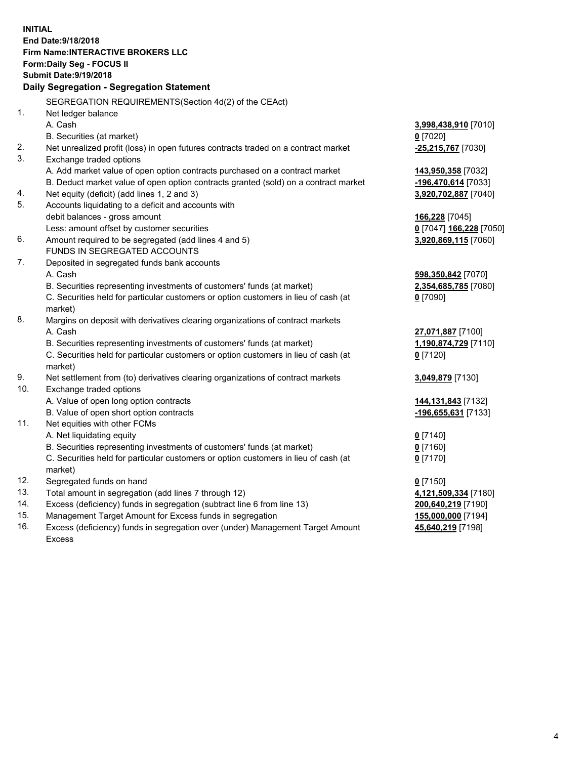**INITIAL End Date:9/18/2018 Firm Name:INTERACTIVE BROKERS LLC Form:Daily Seg - FOCUS II Submit Date:9/19/2018 Daily Segregation - Segregation Statement** SEGREGATION REQUIREMENTS(Section 4d(2) of the CEAct) 1. Net ledger balance A. Cash **3,998,438,910** [7010] B. Securities (at market) **0** [7020] 2. Net unrealized profit (loss) in open futures contracts traded on a contract market **-25,215,767** [7030] 3. Exchange traded options A. Add market value of open option contracts purchased on a contract market **143,950,358** [7032] B. Deduct market value of open option contracts granted (sold) on a contract market **-196,470,614** [7033] 4. Net equity (deficit) (add lines 1, 2 and 3) **3,920,702,887** [7040] 5. Accounts liquidating to a deficit and accounts with debit balances - gross amount **166,228** [7045] Less: amount offset by customer securities **0** [7047] **166,228** [7050] 6. Amount required to be segregated (add lines 4 and 5) **3,920,869,115** [7060] FUNDS IN SEGREGATED ACCOUNTS 7. Deposited in segregated funds bank accounts A. Cash **598,350,842** [7070] B. Securities representing investments of customers' funds (at market) **2,354,685,785** [7080] C. Securities held for particular customers or option customers in lieu of cash (at market) **0** [7090] 8. Margins on deposit with derivatives clearing organizations of contract markets A. Cash **27,071,887** [7100] B. Securities representing investments of customers' funds (at market) **1,190,874,729** [7110] C. Securities held for particular customers or option customers in lieu of cash (at market) **0** [7120] 9. Net settlement from (to) derivatives clearing organizations of contract markets **3,049,879** [7130] 10. Exchange traded options A. Value of open long option contracts **144,131,843** [7132] B. Value of open short option contracts **-196,655,631** [7133] 11. Net equities with other FCMs A. Net liquidating equity **0** [7140] B. Securities representing investments of customers' funds (at market) **0** [7160] C. Securities held for particular customers or option customers in lieu of cash (at market) **0** [7170] 12. Segregated funds on hand **0** [7150] 13. Total amount in segregation (add lines 7 through 12) **4,121,509,334** [7180] 14. Excess (deficiency) funds in segregation (subtract line 6 from line 13) **200,640,219** [7190] 15. Management Target Amount for Excess funds in segregation **155,000,000** [7194]

16. Excess (deficiency) funds in segregation over (under) Management Target Amount Excess

**45,640,219** [7198]